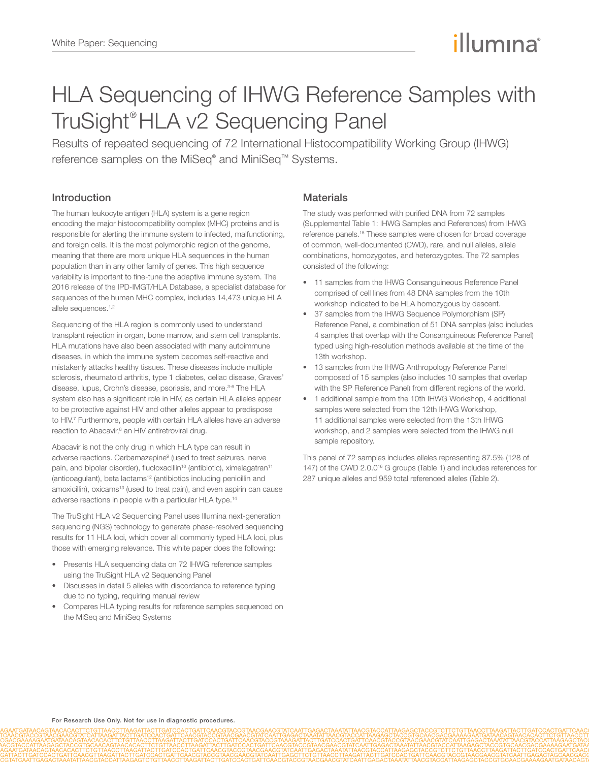# illumına

# HLA Sequencing of IHWG Reference Samples with TruSight® HLA v2 Sequencing Panel

Results of repeated sequencing of 72 International Histocompatibility Working Group (IHWG) reference samples on the MiSeq® and MiniSeq™ Systems.

# Introduction

The human leukocyte antigen (HLA) system is a gene region encoding the major histocompatibility complex (MHC) proteins and is responsible for alerting the immune system to infected, malfunctioning, and foreign cells. It is the most polymorphic region of the genome, meaning that there are more unique HLA sequences in the human population than in any other family of genes. This high sequence variability is important to fine-tune the adaptive immune system. The 2016 release of the IPD-IMGT/HLA Database, a specialist database for sequences of the human MHC complex, includes 14,473 unique HLA allele sequences.<sup>[1](#page-10-0),[2](#page-10-1)</sup>

Sequencing of the HLA region is commonly used to understand transplant rejection in organ, bone marrow, and stem cell transplants. HLA mutations have also been associated with many autoimmune diseases, in which the immune system becomes self-reactive and mistakenly attacks healthy tissues. These diseases include multiple sclerosis, rheumatoid arthritis, type 1 diabetes, celiac disease, Graves' disease, lupus, Crohn's disease, psoriasis, and more.<sup>[3](#page-10-2)-[6](#page-10-3)</sup> The HLA system also has a significant role in HIV, as certain HLA alleles appear to be protective against HIV and other alleles appear to predispose to HIV[.7](#page-10-4) Furthermore, people with certain HLA alleles have an adverse reaction to Abacavir,<sup>[8](#page-10-5)</sup> an HIV antiretroviral drug.

Abacavir is not the only drug in which HLA type can result in adverse reactions. Carbamazepine<sup>9</sup> (used to treat seizures, nerve pain, and bipolar disorder), flucloxacillin<sup>10</sup> (antibiotic), ximelagatran<sup>[11](#page-10-8)</sup> (anticoagulant), beta lactams<sup>12</sup> (antibiotics including penicillin and amoxicillin), oxicams<sup>[13](#page-10-10)</sup> (used to treat pain), and even aspirin can cause adverse reactions in people with a particular HLA type[.14](#page-10-11)

The TruSight HLA v2 Sequencing Panel uses Illumina next-generation sequencing (NGS) technology to generate phase-resolved sequencing results for 11 HLA loci, which cover all commonly typed HLA loci, plus those with emerging relevance. This white paper does the following:

- Presents HLA sequencing data on 72 IHWG reference samples using the TruSight HLA v2 Sequencing Panel
- Discusses in detail 5 alleles with discordance to reference typing due to no typing, requiring manual review
- Compares HLA typing results for reference samples sequenced on the MiSeq and MiniSeq Systems

# **Materials**

The study was performed with purified DNA from 72 samples (Supplemental Table 1: IHWG Samples and References) from IHWG reference panels.[15](#page-10-12) These samples were chosen for broad coverage of common, well-documented (CWD), rare, and null alleles, allele combinations, homozygotes, and heterozygotes. The 72 samples consisted of the following:

- 11 samples from the IHWG Consanguineous Reference Panel comprised of cell lines from 48 DNA samples from the 10th workshop indicated to be HLA homozygous by descent.
- 37 samples from the IHWG Sequence Polymorphism (SP) Reference Panel, a combination of 51 DNA samples (also includes 4 samples that overlap with the Consanguineous Reference Panel) typed using high-resolution methods available at the time of the 13th workshop.
- 13 samples from the IHWG Anthropology Reference Panel composed of 15 samples (also includes 10 samples that overlap with the SP Reference Panel) from different regions of the world.
- 1 additional sample from the 10th IHWG Workshop, 4 additional samples were selected from the 12th IHWG Workshop, 11 additional samples were selected from the 13th IHWG workshop, and 2 samples were selected from the IHWG null sample repository.

This panel of 72 samples includes alleles representing 87.5% (128 of 147) of the CWD 2.0.0<sup>16</sup> G groups (Table 1) and includes references for 287 unique alleles and 959 total referenced alleles (Table 2).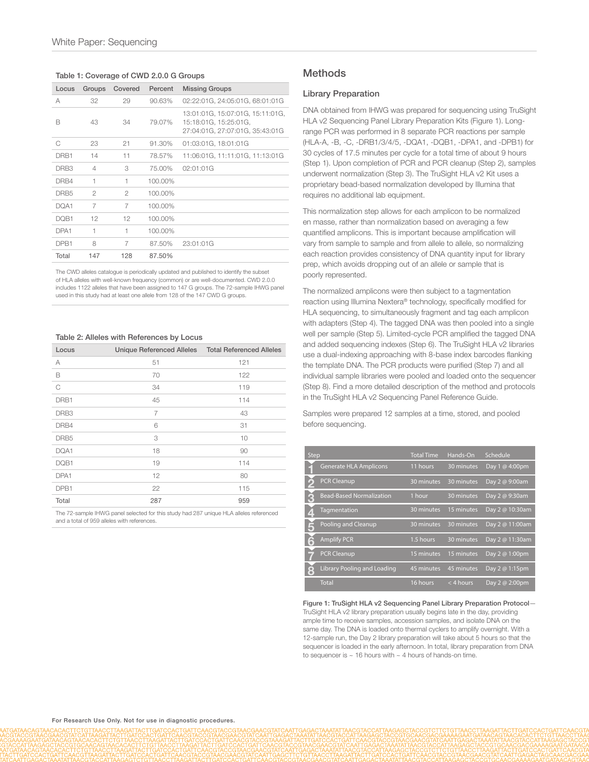#### Table 1: Coverage of CWD 2.0.0 G Groups

| Locus            | Groups         | Covered        | Percent | <b>Missing Groups</b>                                                                        |
|------------------|----------------|----------------|---------|----------------------------------------------------------------------------------------------|
| А                | 32             | 29             | 90.63%  | 02:22:01G, 24:05:01G, 68:01:01G                                                              |
| B                | 43             | 34             | 79.07%  | 13:01:01G, 15:07:01G, 15:11:01G,<br>15:18:01G, 15:25:01G,<br>27:04:01G, 27:07:01G, 35:43:01G |
| C                | 23             | 21             | 91.30%  | 01:03:01G, 18:01:01G                                                                         |
| DRB1             | 14             | 11             | 78.57%  | 11:06:01G, 11:11:01G, 11:13:01G                                                              |
| DRB <sub>3</sub> | $\overline{4}$ | 3              | 75.00%  | 02:01:01G                                                                                    |
| DRB4             | 1              | 1              | 100.00% |                                                                                              |
| DRB <sub>5</sub> | $\mathfrak{D}$ | $\mathfrak{D}$ | 100.00% |                                                                                              |
| DQA1             | 7              | 7              | 100.00% |                                                                                              |
| DQB1             | 12             | 12             | 100.00% |                                                                                              |
| DPA1             | 1              | 1              | 100.00% |                                                                                              |
| DPB1             | 8              | 7              | 87.50%  | 23:01:01G                                                                                    |
| Total            | 147            | 128            | 87.50%  |                                                                                              |

The CWD alleles catalogue is periodically updated and published to identify the subset of HLA alleles with well-known frequency (common) or are well-documented. CWD 2.0.0 includes 1122 alleles that have been assigned to 147 G groups. The 72-sample IHWG panel used in this study had at least one allele from 128 of the 147 CWD G groups.

#### Table 2: Alleles with References by Locus

| Locus | Unique Referenced Alleles  Total Referenced Alleles |     |
|-------|-----------------------------------------------------|-----|
| А     | 51                                                  | 121 |
| B     | 70                                                  | 122 |
| C     | 34                                                  | 119 |
| DRB1  | 45                                                  | 114 |
| DRB3  | 7                                                   | 43  |
| DRB4  | 6                                                   | 31  |
| DRB5  | 3                                                   | 10  |
| DQA1  | 18                                                  | 90  |
| DQB1  | 19                                                  | 114 |
| DPA1  | 12                                                  | 80  |
| DPB1  | 22                                                  | 115 |
| Total | 287                                                 | 959 |

The 72-sample IHWG panel selected for this study had 287 unique HLA alleles referenced and a total of 959 alleles with references.

## **Methods**

#### Library Preparation

DNA obtained from IHWG was prepared for sequencing using TruSight HLA v2 Sequencing Panel Library Preparation Kits (Figure 1). Longrange PCR was performed in 8 separate PCR reactions per sample (HLA-A, -B, -C, -DRB1/3/4/5, -DQA1, -DQB1, -DPA1, and -DPB1) for 30 cycles of 17.5 minutes per cycle for a total time of about 9 hours (Step 1). Upon completion of PCR and PCR cleanup (Step 2), samples underwent normalization (Step 3). The TruSight HLA v2 Kit uses a proprietary bead-based normalization developed by Illumina that requires no additional lab equipment.

This normalization step allows for each amplicon to be normalized en masse, rather than normalization based on averaging a few quantified amplicons. This is important because amplification will vary from sample to sample and from allele to allele, so normalizing each reaction provides consistency of DNA quantity input for library prep, which avoids dropping out of an allele or sample that is poorly represented.

The normalized amplicons were then subject to a tagmentation reaction using Illumina Nextera® technology, specifically modified for HLA sequencing, to simultaneously fragment and tag each amplicon with adapters (Step 4). The tagged DNA was then pooled into a single well per sample (Step 5). Limited-cycle PCR amplified the tagged DNA and added sequencing indexes (Step 6). The TruSight HLA v2 libraries use a dual-indexing approaching with 8-base index barcodes flanking the template DNA. The PCR products were purified (Step 7) and all individual sample libraries were pooled and loaded onto the sequencer (Step 8). Find a more detailed description of the method and protocols in the TruSight HLA v2 Sequencing Panel Reference Guide.

Samples were prepared 12 samples at a time, stored, and pooled before sequencing.

| <b>Step</b> |                                    | <b>Total Time</b> | Hands-On    | Schedule        |
|-------------|------------------------------------|-------------------|-------------|-----------------|
|             | <b>Generate HLA Amplicons</b>      | 11 hours          | 30 minutes  | Day 1 @ 4:00pm  |
|             | <b>PCR Cleanup</b>                 | 30 minutes        | 30 minutes  | Day 2 @ 9:00am  |
|             | <b>Bead-Based Normalization</b>    | 1 hour            | 30 minutes  | Day 2 @ 9:30am  |
|             | Tagmentation                       | 30 minutes        | 15 minutes  | Day 2 @ 10:30am |
|             | Pooling and Cleanup                | 30 minutes        | 30 minutes  | Day 2 @ 11:00am |
| F           | <b>Amplify PCR</b>                 | 1.5 hours         | 30 minutes  | Day 2 @ 11:30am |
|             | <b>PCR Cleanup</b>                 | 15 minutes        | 15 minutes  | Day 2 @ 1:00pm  |
| $\bullet$   | <b>Library Pooling and Loading</b> | 45 minutes        | 45 minutes  | Day 2 @ 1:15pm  |
|             | <b>Total</b>                       | 16 hours          | $<$ 4 hours | Day 2 @ 2:00pm  |

Figure 1: TruSight HLA v2 Sequencing Panel Library Preparation Protocol— TruSight HLA v2 library preparation usually begins late in the day, providing ample time to receive samples, accession samples, and isolate DNA on the same day. The DNA is loaded onto thermal cyclers to amplify overnight. With a 12-sample run, the Day 2 library preparation will take about 5 hours so that the sequencer is loaded in the early afternoon. In total, library preparation from DNA to sequencer is  $\sim$  16 hours with  $\sim$  4 hours of hands-on time.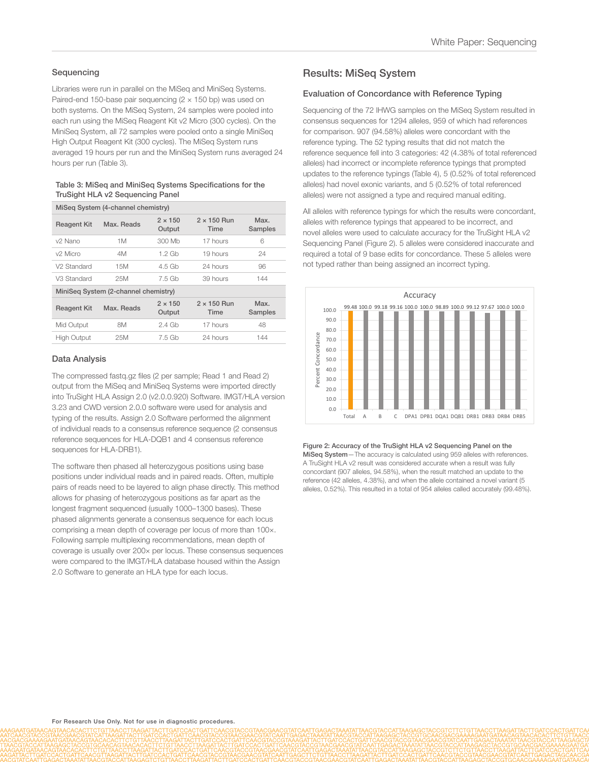## **Sequencing**

Libraries were run in parallel on the MiSeq and MiniSeq Systems. Paired-end 150-base pair sequencing  $(2 \times 150$  bp) was used on both systems. On the MiSeq System, 24 samples were pooled into each run using the MiSeq Reagent Kit v2 Micro (300 cycles). On the MiniSeq System, all 72 samples were pooled onto a single MiniSeq High Output Reagent Kit (300 cycles). The MiSeq System runs averaged 19 hours per run and the MiniSeq System runs averaged 24 hours per run (Table 3).

#### Table 3: MiSeq and MiniSeq Systems Specifications for the TruSight HLA v2 Sequencing Panel

| MiSeg System (4-channel chemistry)   |            |                          |                                   |                 |  |  |  |
|--------------------------------------|------------|--------------------------|-----------------------------------|-----------------|--|--|--|
| <b>Reagent Kit</b>                   | Max. Reads | $2 \times 150$<br>Output | $2 \times 150$ Run<br><b>Time</b> | Max.<br>Samples |  |  |  |
| v2 Nano                              | 1M         | 300 Mb                   | 17 hours                          | 6               |  |  |  |
| v <sub>2</sub> Micro                 | 4M         | 1.2 Gb                   | 19 hours                          | 24              |  |  |  |
| V2 Standard                          | 15M        | 4.5 Gb                   | 24 hours                          | 96              |  |  |  |
| V3 Standard                          | 25M        | 7.5 Gb                   | 39 hours                          | 144             |  |  |  |
| MiniSeg System (2-channel chemistry) |            |                          |                                   |                 |  |  |  |
| <b>Reagent Kit</b>                   | Max. Reads | $2 \times 150$<br>Output | $2 \times 150$ Run<br>Time        | Max.<br>Samples |  |  |  |
| Mid Output                           | 8M         | $2.4$ Gb                 | 17 hours                          | 48              |  |  |  |
| <b>High Output</b>                   | 25M        | 7.5 Gb                   | 24 hours                          | 144             |  |  |  |

## Data Analysis

The compressed fastq.gz files (2 per sample; Read 1 and Read 2) output from the MiSeq and MiniSeq Systems were imported directly into TruSight HLA Assign 2.0 (v2.0.0.920) Software. IMGT/HLA version 3.23 and CWD version 2.0.0 software were used for analysis and typing of the results. Assign 2.0 Software performed the alignment of individual reads to a consensus reference sequence (2 consensus reference sequences for HLA-DQB1 and 4 consensus reference sequences for HLA-DRB1).

The software then phased all heterozygous positions using base positions under individual reads and in paired reads. Often, multiple pairs of reads need to be layered to align phase directly. This method allows for phasing of heterozygous positions as far apart as the longest fragment sequenced (usually 1000–1300 bases). These phased alignments generate a consensus sequence for each locus comprising a mean depth of coverage per locus of more than 100×. Following sample multiplexing recommendations, mean depth of coverage is usually over 200× per locus. These consensus sequences were compared to the IMGT/HLA database housed within the Assign 2.0 Software to generate an HLA type for each locus.

## Results: MiSeq System

#### Evaluation of Concordance with Reference Typing

Sequencing of the 72 IHWG samples on the MiSeq System resulted in consensus sequences for 1294 alleles, 959 of which had references for comparison. 907 (94.58%) alleles were concordant with the reference typing. The 52 typing results that did not match the reference sequence fell into 3 categories: 42 (4.38% of total referenced alleles) had incorrect or incomplete reference typings that prompted updates to the reference typings (Table 4), 5 (0.52% of total referenced alleles) had novel exonic variants, and 5 (0.52% of total referenced alleles) were not assigned a type and required manual editing.

All alleles with reference typings for which the results were concordant, alleles with reference typings that appeared to be incorrect, and novel alleles were used to calculate accuracy for the TruSight HLA v2 Sequencing Panel (Figure 2). 5 alleles were considered inaccurate and required a total of 9 base edits for concordance. These 5 alleles were not typed rather than being assigned an incorrect typing.



Figure 2: Accuracy of the TruSight HLA v2 Sequencing Panel on the MiSeq System—The accuracy is calculated using 959 alleles with references. A TruSight HLA v2 result was considered accurate when a result was fully concordant (907 alleles, 94.58%), when the result matched an update to the reference (42 alleles, 4.38%), and when the allele contained a novel variant (5 alleles, 0.52%). This resulted in a total of 954 alleles called accurately (99.48%).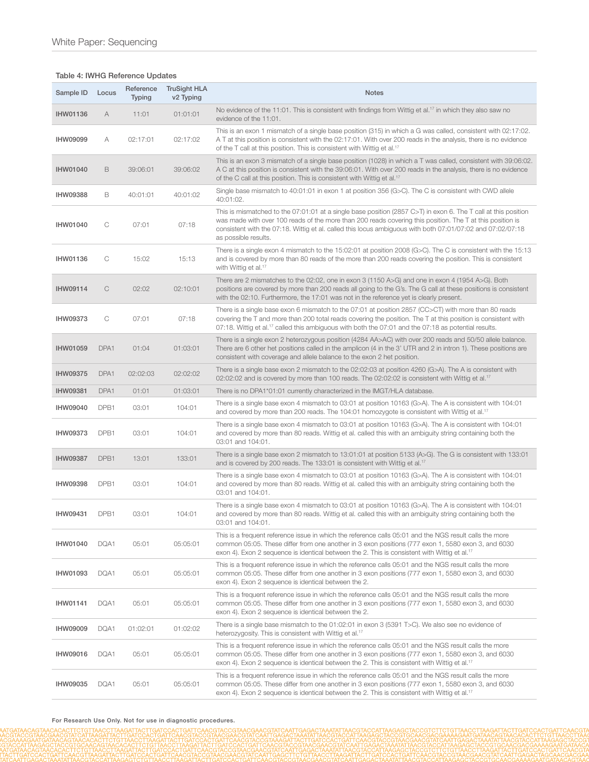## Table 4: IWHG Reference Updates

| Sample ID       | Locus | Reference<br><b>Typing</b> | <b>TruSight HLA</b><br>v <sub>2</sub> Typing | <b>Notes</b>                                                                                                                                                                                                                                                                                                                                                      |  |
|-----------------|-------|----------------------------|----------------------------------------------|-------------------------------------------------------------------------------------------------------------------------------------------------------------------------------------------------------------------------------------------------------------------------------------------------------------------------------------------------------------------|--|
| <b>IHW01136</b> | A     | 11:01                      | 01:01:01                                     | No evidence of the 11:01. This is consistent with findings from Wittig et al. <sup>17</sup> in which they also saw no<br>evidence of the 11:01.                                                                                                                                                                                                                   |  |
| <b>IHW09099</b> | A     | 02:17:01                   | 02:17:02                                     | This is an exon 1 mismatch of a single base position (315) in which a G was called, consistent with 02:17:02.<br>A T at this position is consistent with the 02:17:01. With over 200 reads in the analysis, there is no evidence<br>of the T call at this position. This is consistent with Wittig et al. <sup>17</sup>                                           |  |
| <b>IHW01040</b> | B     | 39:06:01                   | 39:06:02                                     | This is an exon 3 mismatch of a single base position (1028) in which a T was called, consistent with 39:06:02.<br>A C at this position is consistent with the 39:06:01. With over 200 reads in the analysis, there is no evidence<br>of the C call at this position. This is consistent with Wittig et al. <sup>17</sup>                                          |  |
| <b>IHW09388</b> | В     | 40:01:01                   | 40:01:02                                     | Single base mismatch to 40:01:01 in exon 1 at position 356 (G>C). The C is consistent with CWD allele<br>40:01:02.                                                                                                                                                                                                                                                |  |
| <b>IHW01040</b> | C     | 07:01                      | 07:18                                        | This is mismatched to the 07:01:01 at a single base position (2857 C>T) in exon 6. The T call at this position<br>was made with over 100 reads of the more than 200 reads covering this position. The T at this position is<br>consistent with the 07:18. Wittig et al. called this locus ambiguous with both 07:01/07:02 and 07:02/07:18<br>as possible results. |  |
| <b>IHW01136</b> | C     | 15:02                      | 15:13                                        | There is a single exon 4 mismatch to the 15:02:01 at position 2008 (G>C). The C is consistent with the 15:13<br>and is covered by more than 80 reads of the more than 200 reads covering the position. This is consistent<br>with Wittig et al. <sup>17</sup>                                                                                                     |  |
| <b>IHW09114</b> | C     | 02:02                      | 02:10:01                                     | There are 2 mismatches to the 02:02, one in exon 3 (1150 A>G) and one in exon 4 (1954 A>G). Both<br>positions are covered by more than 200 reads all going to the G's. The G call at these positions is consistent<br>with the 02:10. Furthermore, the 17:01 was not in the reference yet is clearly present.                                                     |  |
| <b>IHW09373</b> | С     | 07:01                      | 07:18                                        | There is a single base exon 6 mismatch to the 07:01 at position 2857 (CC>CT) with more than 80 reads<br>covering the T and more than 200 total reads covering the position. The T at this position is consistent with<br>07:18. Wittig et al. <sup>17</sup> called this ambiguous with both the 07:01 and the 07:18 as potential results.                         |  |
| <b>IHW01059</b> | DPA1  | 01:04                      | 01:03:01                                     | There is a single exon 2 heterozygous position (4284 AA>AC) with over 200 reads and 50/50 allele balance.<br>There are 6 other het positions called in the amplicon (4 in the 3' UTR and 2 in intron 1). These positions are<br>consistent with coverage and allele balance to the exon 2 het position.                                                           |  |
| <b>IHW09375</b> | DPA1  | 02:02:03                   | 02:02:02                                     | There is a single base exon 2 mismatch to the 02:02:03 at position 4260 (G>A). The A is consistent with<br>02:02:02 and is covered by more than 100 reads. The 02:02:02 is consistent with Wittig et al. <sup>17</sup>                                                                                                                                            |  |
| <b>IHW09381</b> | DPA1  | 01:01                      | 01:03:01                                     | There is no DPA1*01:01 currently characterized in the IMGT/HLA database.                                                                                                                                                                                                                                                                                          |  |
| <b>IHW09040</b> | DPB1  | 03:01                      | 104:01                                       | There is a single base exon 4 mismatch to 03:01 at position 10163 (G>A). The A is consistent with 104:01<br>and covered by more than 200 reads. The 104:01 homozygote is consistent with Wittig et al. <sup>17</sup>                                                                                                                                              |  |
| <b>IHW09373</b> | DPB1  | 03:01                      | 104:01                                       | There is a single base exon 4 mismatch to 03:01 at position 10163 (G>A). The A is consistent with 104:01<br>and covered by more than 80 reads. Wittig et al. called this with an ambiguity string containing both the<br>03:01 and 104:01.                                                                                                                        |  |
| <b>IHW09387</b> | DPB1  | 13:01                      | 133:01                                       | There is a single base exon 2 mismatch to 13:01:01 at position 5133 (A>G). The G is consistent with 133:01<br>and is covered by 200 reads. The 133:01 is consistent with Wittig et al. <sup>17</sup>                                                                                                                                                              |  |
| <b>IHW09398</b> | DPB1  | 03:01                      | 104:01                                       | There is a single base exon 4 mismatch to 03:01 at position 10163 (G>A). The A is consistent with 104:01<br>and covered by more than 80 reads. Wittig et al. called this with an ambiguity string containing both the<br>03:01 and 104:01.                                                                                                                        |  |
| IHW09431        | DPB1  | 03:01                      | 104:01                                       | There is a single base exon 4 mismatch to 03:01 at position 10163 (G>A). The A is consistent with 104:01<br>and covered by more than 80 reads. Wittig et al. called this with an ambiguity string containing both the<br>03:01 and 104:01.                                                                                                                        |  |
| <b>IHW01040</b> | DQA1  | 05:01                      | 05:05:01                                     | This is a frequent reference issue in which the reference calls 05:01 and the NGS result calls the more<br>common 05:05. These differ from one another in 3 exon positions (777 exon 1, 5580 exon 3, and 6030<br>exon 4). Exon 2 sequence is identical between the 2. This is consistent with Wittig et al. <sup>17</sup>                                         |  |
| IHW01093        | DQA1  | 05:01                      | 05:05:01                                     | This is a frequent reference issue in which the reference calls 05:01 and the NGS result calls the more<br>common 05:05. These differ from one another in 3 exon positions (777 exon 1, 5580 exon 3, and 6030<br>exon 4). Exon 2 sequence is identical between the 2.                                                                                             |  |
| <b>IHW01141</b> | DQA1  | 05:01                      | 05:05:01                                     | This is a frequent reference issue in which the reference calls 05:01 and the NGS result calls the more<br>common 05:05. These differ from one another in 3 exon positions (777 exon 1, 5580 exon 3, and 6030<br>exon 4). Exon 2 sequence is identical between the 2.                                                                                             |  |
| <b>IHW09009</b> | DQA1  | 01:02:01                   | 01:02:02                                     | There is a single base mismatch to the 01:02:01 in exon 3 (5391 T>C). We also see no evidence of<br>heterozygosity. This is consistent with Wittig et al. <sup>17</sup>                                                                                                                                                                                           |  |
| <b>IHW09016</b> | DQA1  | 05:01                      | 05:05:01                                     | This is a frequent reference issue in which the reference calls 05:01 and the NGS result calls the more<br>common 05:05. These differ from one another in 3 exon positions (777 exon 1, 5580 exon 3, and 6030<br>exon 4). Exon 2 sequence is identical between the 2. This is consistent with Wittig et al. <sup>17</sup>                                         |  |
| IHW09035        | DQA1  | 05:01                      | 05:05:01                                     | This is a frequent reference issue in which the reference calls 05:01 and the NGS result calls the more<br>common 05:05. These differ from one another in 3 exon positions (777 exon 1, 5580 exon 3, and 6030<br>exon 4). Exon 2 sequence is identical between the 2. This is consistent with Wittig et al. <sup>17</sup>                                         |  |

For Research Use Only. Not for use in diagnostic procedures.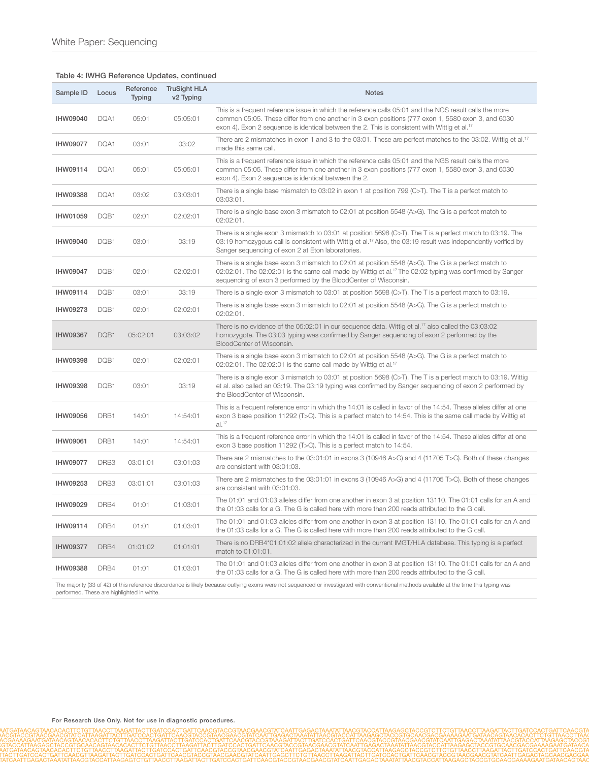## Table 4: IWHG Reference Updates, continued

| Sample ID       | Locus | Reference<br><b>Typing</b> | <b>TruSight HLA</b><br>v <sub>2</sub> Typing | <b>Notes</b>                                                                                                                                                                                                                                                                                                              |
|-----------------|-------|----------------------------|----------------------------------------------|---------------------------------------------------------------------------------------------------------------------------------------------------------------------------------------------------------------------------------------------------------------------------------------------------------------------------|
| <b>IHW09040</b> | DQA1  | 05:01                      | 05:05:01                                     | This is a frequent reference issue in which the reference calls 05:01 and the NGS result calls the more<br>common 05:05. These differ from one another in 3 exon positions (777 exon 1, 5580 exon 3, and 6030<br>exon 4). Exon 2 sequence is identical between the 2. This is consistent with Wittig et al. <sup>17</sup> |
| <b>IHW09077</b> | DQA1  | 03:01                      | 03:02                                        | There are 2 mismatches in exon 1 and 3 to the 03:01. These are perfect matches to the 03:02. Wittig et al. <sup>17</sup><br>made this same call.                                                                                                                                                                          |
| IHW09114        | DQA1  | 05:01                      | 05:05:01                                     | This is a frequent reference issue in which the reference calls 05:01 and the NGS result calls the more<br>common 05:05. These differ from one another in 3 exon positions (777 exon 1, 5580 exon 3, and 6030<br>exon 4). Exon 2 sequence is identical between the 2.                                                     |
| <b>IHW09388</b> | DQA1  | 03:02                      | 03:03:01                                     | There is a single base mismatch to 03:02 in exon 1 at position 799 (C>T). The T is a perfect match to<br>03:03:01.                                                                                                                                                                                                        |
| IHW01059        | DQB1  | 02:01                      | 02:02:01                                     | There is a single base exon 3 mismatch to 02:01 at position 5548 (A>G). The G is a perfect match to<br>02:02:01.                                                                                                                                                                                                          |
| <b>IHW09040</b> | DQB1  | 03:01                      | 03:19                                        | There is a single exon 3 mismatch to 03:01 at position 5698 (C>T). The T is a perfect match to 03:19. The<br>03:19 homozygous call is consistent with Wittig et al. <sup>17</sup> Also, the 03:19 result was independently verified by<br>Sanger sequencing of exon 2 at Eton laboratories.                               |
| <b>IHW09047</b> | DQB1  | 02:01                      | 02:02:01                                     | There is a single base exon 3 mismatch to 02:01 at position 5548 ( $A > G$ ). The G is a perfect match to<br>02:02:01. The 02:02:01 is the same call made by Wittig et al. <sup>17</sup> The 02:02 typing was confirmed by Sanger<br>sequencing of exon 3 performed by the BloodCenter of Wisconsin.                      |
| IHW09114        | DQB1  | 03:01                      | 03:19                                        | There is a single exon 3 mismatch to 03:01 at position 5698 (C $>$ T). The T is a perfect match to 03:19.                                                                                                                                                                                                                 |
| <b>IHW09273</b> | DQB1  | 02:01                      | 02:02:01                                     | There is a single base exon 3 mismatch to 02:01 at position 5548 (A>G). The G is a perfect match to<br>02:02:01.                                                                                                                                                                                                          |
| <b>IHW09367</b> | DQB1  | 05:02:01                   | 03:03:02                                     | There is no evidence of the 05:02:01 in our sequence data. Wittig et al. <sup>17</sup> also called the 03:03:02<br>homozygote. The 03:03 typing was confirmed by Sanger sequencing of exon 2 performed by the<br>BloodCenter of Wisconsin.                                                                                |
| <b>IHW09398</b> | DQB1  | 02:01                      | 02:02:01                                     | There is a single base exon 3 mismatch to 02:01 at position 5548 (A>G). The G is a perfect match to<br>02:02:01. The 02:02:01 is the same call made by Wittig et al. <sup>17</sup>                                                                                                                                        |
| <b>IHW09398</b> | DQB1  | 03:01                      | 03:19                                        | There is a single exon 3 mismatch to 03:01 at position 5698 (C>T). The T is a perfect match to 03:19. Wittig<br>et al. also called an 03:19. The 03:19 typing was confirmed by Sanger sequencing of exon 2 performed by<br>the BloodCenter of Wisconsin.                                                                  |
| <b>IHW09056</b> | DRB1  | 14:01                      | 14:54:01                                     | This is a frequent reference error in which the 14:01 is called in favor of the 14:54. These alleles differ at one<br>exon 3 base position 11292 (T>C). This is a perfect match to 14:54. This is the same call made by Wittig et<br>$al.^{17}$                                                                           |
| <b>IHW09061</b> | DRB1  | 14:01                      | 14:54:01                                     | This is a frequent reference error in which the 14:01 is called in favor of the 14:54. These alleles differ at one<br>exon 3 base position 11292 (T>C). This is a perfect match to 14:54.                                                                                                                                 |
| <b>IHW09077</b> | DRB3  | 03:01:01                   | 03:01:03                                     | There are 2 mismatches to the $03:01:01$ in exons 3 (10946 A>G) and 4 (11705 T>C). Both of these changes<br>are consistent with 03:01:03.                                                                                                                                                                                 |
| IHW09253        | DRB3  | 03:01:01                   | 03:01:03                                     | There are 2 mismatches to the 03:01:01 in exons 3 (10946 A>G) and 4 (11705 T>C). Both of these changes<br>are consistent with 03:01:03.                                                                                                                                                                                   |
| <b>IHW09029</b> | DRB4  | 01:01                      | 01:03:01                                     | The 01:01 and 01:03 alleles differ from one another in exon 3 at position 13110. The 01:01 calls for an A and<br>the 01:03 calls for a G. The G is called here with more than 200 reads attributed to the G call.                                                                                                         |
| IHW09114        | DRB4  | 01:01                      | 01:03:01                                     | The 01:01 and 01:03 alleles differ from one another in exon 3 at position 13110. The 01:01 calls for an A and<br>the 01:03 calls for a G. The G is called here with more than 200 reads attributed to the G call.                                                                                                         |
| <b>IHW09377</b> | DRB4  | 01:01:02                   | 01:01:01                                     | There is no DRB4*01:01:02 allele characterized in the current IMGT/HLA database. This typing is a perfect<br>match to 01:01:01.                                                                                                                                                                                           |
| <b>IHW09388</b> | DRB4  | 01:01                      | 01:03:01                                     | The 01:01 and 01:03 alleles differ from one another in exon 3 at position 13110. The 01:01 calls for an A and<br>the 01:03 calls for a G. The G is called here with more than 200 reads attributed to the G call.                                                                                                         |

The majority (33 of 42) of this reference discordance is likely because outlying exons were not sequenced or investigated with conventional methods available at the time this typing was performed. These are highlighted in white.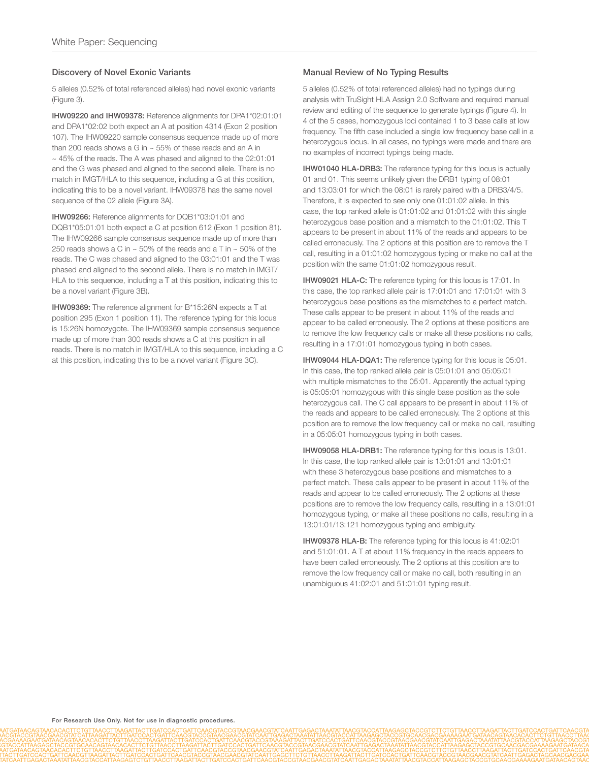#### Discovery of Novel Exonic Variants

5 alleles (0.52% of total referenced alleles) had novel exonic variants (Figure 3).

IHW09220 and IHW09378: Reference alignments for DPA1\*02:01:01 and DPA1\*02:02 both expect an A at position 4314 (Exon 2 position 107). The IHW09220 sample consensus sequence made up of more than 200 reads shows a G in  $\sim$  55% of these reads and an A in ~ 45% of the reads. The A was phased and aligned to the 02:01:01 and the G was phased and aligned to the second allele. There is no match in IMGT/HLA to this sequence, including a G at this position, indicating this to be a novel variant. IHW09378 has the same novel sequence of the 02 allele (Figure 3A).

IHW09266: Reference alignments for DQB1\*03:01:01 and DQB1\*05:01:01 both expect a C at position 612 (Exon 1 position 81). The IHW09266 sample consensus sequence made up of more than 250 reads shows a C in  $\sim$  50% of the reads and a T in  $\sim$  50% of the reads. The C was phased and aligned to the 03:01:01 and the T was phased and aligned to the second allele. There is no match in IMGT/ HLA to this sequence, including a T at this position, indicating this to be a novel variant (Figure 3B).

IHW09369: The reference alignment for B\*15:26N expects a T at position 295 (Exon 1 position 11). The reference typing for this locus is 15:26N homozygote. The IHW09369 sample consensus sequence made up of more than 300 reads shows a C at this position in all reads. There is no match in IMGT/HLA to this sequence, including a C at this position, indicating this to be a novel variant (Figure 3C).

#### Manual Review of No Typing Results

5 alleles (0.52% of total referenced alleles) had no typings during analysis with TruSight HLA Assign 2.0 Software and required manual review and editing of the sequence to generate typings (Figure 4). In 4 of the 5 cases, homozygous loci contained 1 to 3 base calls at low frequency. The fifth case included a single low frequency base call in a heterozygous locus. In all cases, no typings were made and there are no examples of incorrect typings being made.

IHW01040 HLA-DRB3: The reference typing for this locus is actually 01 and 01. This seems unlikely given the DRB1 typing of 08:01 and 13:03:01 for which the 08:01 is rarely paired with a DRB3/4/5. Therefore, it is expected to see only one 01:01:02 allele. In this case, the top ranked allele is 01:01:02 and 01:01:02 with this single heterozygous base position and a mismatch to the 01:01:02. This T appears to be present in about 11% of the reads and appears to be called erroneously. The 2 options at this position are to remove the T call, resulting in a 01:01:02 homozygous typing or make no call at the position with the same 01:01:02 homozygous result.

IHW09021 HLA-C: The reference typing for this locus is 17:01. In this case, the top ranked allele pair is 17:01:01 and 17:01:01 with 3 heterozygous base positions as the mismatches to a perfect match. These calls appear to be present in about 11% of the reads and appear to be called erroneously. The 2 options at these positions are to remove the low frequency calls or make all these positions no calls, resulting in a 17:01:01 homozygous typing in both cases.

IHW09044 HLA-DQA1: The reference typing for this locus is 05:01. In this case, the top ranked allele pair is 05:01:01 and 05:05:01 with multiple mismatches to the 05:01. Apparently the actual typing is 05:05:01 homozygous with this single base position as the sole heterozygous call. The C call appears to be present in about 11% of the reads and appears to be called erroneously. The 2 options at this position are to remove the low frequency call or make no call, resulting in a 05:05:01 homozygous typing in both cases.

IHW09058 HLA-DRB1: The reference typing for this locus is 13:01. In this case, the top ranked allele pair is 13:01:01 and 13:01:01 with these 3 heterozygous base positions and mismatches to a perfect match. These calls appear to be present in about 11% of the reads and appear to be called erroneously. The 2 options at these positions are to remove the low frequency calls, resulting in a 13:01:01 homozygous typing, or make all these positions no calls, resulting in a 13:01:01/13:121 homozygous typing and ambiguity.

IHW09378 HLA-B: The reference typing for this locus is 41:02:01 and 51:01:01. A T at about 11% frequency in the reads appears to have been called erroneously. The 2 options at this position are to remove the low frequency call or make no call, both resulting in an unambiguous 41:02:01 and 51:01:01 typing result.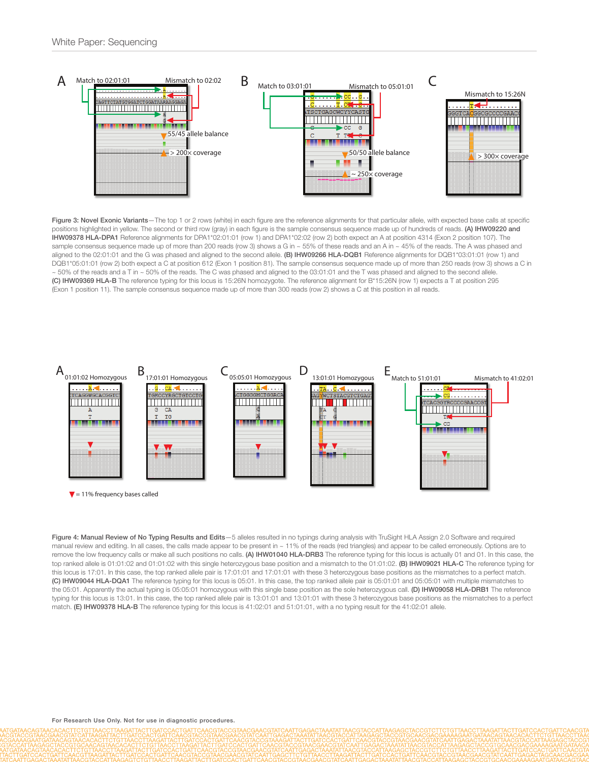

Figure 3: Novel Exonic Variants-The top 1 or 2 rows (white) in each figure are the reference alignments for that particular allele, with expected base calls at specific positions highlighted in yellow. The second or third row (gray) in each figure is the sample consensus sequence made up of hundreds of reads. (A) IHW09220 and IHW09378 HLA-DPA1 Reference alignments for DPA1\*02:01:01 (row 1) and DPA1\*02:02 (row 2) both expect an A at position 4314 (Exon 2 position 107). The sample consensus sequence made up of more than 200 reads (row 3) shows a G in ~ 55% of these reads and an A in ~ 45% of the reads. The A was phased and aligned to the 02:01:01 and the G was phased and aligned to the second allele. (B) IHW09266 HLA-DQB1 Reference alignments for DQB1\*03:01:01 (row 1) and DQB1\*05:01:01 (row 2) both expect a C at position 612 (Exon 1 position 81). The sample consensus sequence made up of more than 250 reads (row 3) shows a C in  $\sim$  50% of the reads and a T in  $\sim$  50% of the reads. The C was phased and aligned to the 03:01:01 and the T was phased and aligned to the second allele. (C) IHW09369 HLA-B The reference typing for this locus is 15:26N homozygote. The reference alignment for B\*15:26N (row 1) expects a T at position 295 (Exon 1 position 11). The sample consensus sequence made up of more than 300 reads (row 2) shows a C at this position in all reads.



Figure 4: Manual Review of No Typing Results and Edits-5 alleles resulted in no typings during analysis with TruSight HLA Assign 2.0 Software and required manual review and editing. In all cases, the calls made appear to be present in ~ 11% of the reads (red triangles) and appear to be called erroneously. Options are to remove the low frequency calls or make all such positions no calls. (A) IHW01040 HLA-DRB3 The reference typing for this locus is actually 01 and 01. In this case, the top ranked allele is 01:01:02 and 01:01:02 with this single heterozygous base position and a mismatch to the 01:01:02. (B) IHW09021 HLA-C The reference typing for this locus is 17:01. In this case, the top ranked allele pair is 17:01:01 and 17:01:01 with these 3 heterozygous base positions as the mismatches to a perfect match. (C) IHW09044 HLA-DQA1 The reference typing for this locus is 05:01. In this case, the top ranked allele pair is 05:01:01 and 05:05:01 with multiple mismatches to the 05:01. Apparently the actual typing is 05:05:01 homozygous with this single base position as the sole heterozygous call. (D) IHW09058 HLA-DRB1 The reference typing for this locus is 13:01. In this case, the top ranked allele pair is 13:01:01 and 13:01:01 with these 3 heterozygous base positions as the mismatches to a perfect match. **(E) IHW09378 HLA-B** The reference typing for this locus is 41:02:01 and 51:01:01, with a no typing result for the 41:02:01 allele.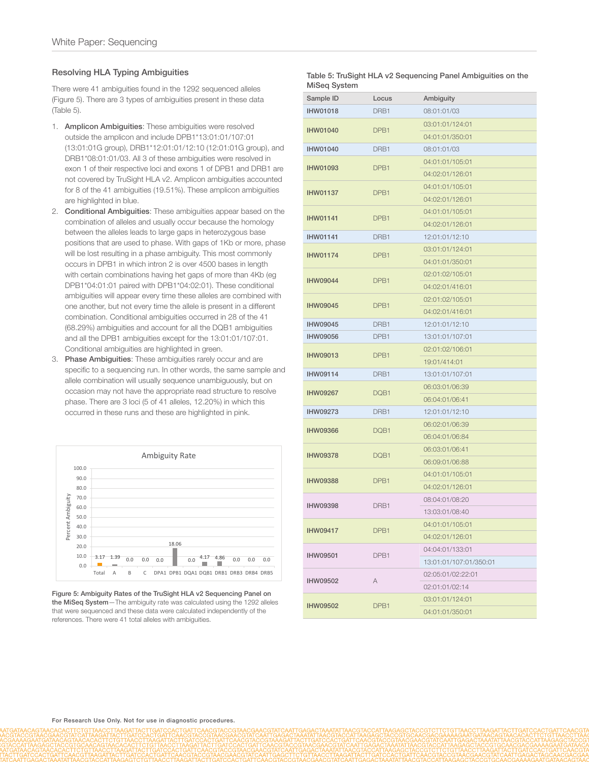## Resolving HLA Typing Ambiguities

There were 41 ambiguities found in the 1292 sequenced alleles (Figure 5). There are 3 types of ambiguities present in these data (Table 5).

- 1. Amplicon Ambiguities: These ambiguities were resolved outside the amplicon and include DPB1\*13:01:01/107:01 (13:01:01G group), DRB1\*12:01:01/12:10 (12:01:01G group), and DRB1\*08:01:01/03. All 3 of these ambiguities were resolved in exon 1 of their respective loci and exons 1 of DPB1 and DRB1 are not covered by TruSight HLA v2. Amplicon ambiguities accounted for 8 of the 41 ambiguities (19.51%). These amplicon ambiguities are highlighted in blue.
- 2. Conditional Ambiguities: These ambiguities appear based on the combination of alleles and usually occur because the homology between the alleles leads to large gaps in heterozygous base positions that are used to phase. With gaps of 1Kb or more, phase will be lost resulting in a phase ambiguity. This most commonly occurs in DPB1 in which intron 2 is over 4500 bases in length with certain combinations having het gaps of more than 4Kb (eg DPB1\*04:01:01 paired with DPB1\*04:02:01). These conditional ambiguities will appear every time these alleles are combined with one another, but not every time the allele is present in a different combination. Conditional ambiguities occurred in 28 of the 41 (68.29%) ambiguities and account for all the DQB1 ambiguities and all the DPB1 ambiguities except for the 13:01:01/107:01. Conditional ambiguities are highlighted in green.
- 3. Phase Ambiguities: These ambiguities rarely occur and are specific to a sequencing run. In other words, the same sample and allele combination will usually sequence unambiguously, but on occasion may not have the appropriate read structure to resolve phase. There are 3 loci (5 of 41 alleles, 12.20%) in which this occurred in these runs and these are highlighted in pink.



Figure 5: Ambiguity Rates of the TruSight HLA v2 Sequencing Panel on the MiSeq System—The ambiguity rate was calculated using the 1292 alleles that were sequenced and these data were calculated independently of the references. There were 41 total alleles with ambiguities.

| Table 5: TruSight HLA v2 Sequencing Panel Ambiguities on the |  |
|--------------------------------------------------------------|--|
| MiSeg System                                                 |  |

| Sample ID       | Locus | Ambiguity              |
|-----------------|-------|------------------------|
| <b>IHW01018</b> | DRB1  | 08:01:01/03            |
| <b>IHW01040</b> | DPB1  | 03:01:01/124:01        |
|                 |       | 04:01:01/350:01        |
| <b>IHW01040</b> | DRB1  | 08:01:01/03            |
| <b>IHW01093</b> | DPB1  | 04:01:01/105:01        |
|                 |       | 04:02:01/126:01        |
| <b>IHW01137</b> | DPB1  | 04:01:01/105:01        |
|                 |       | 04:02:01/126:01        |
| <b>IHW01141</b> | DPB1  | 04:01:01/105:01        |
|                 |       | 04:02:01/126:01        |
| <b>IHW01141</b> | DRB1  | 12:01:01/12:10         |
| <b>IHW01174</b> | DPB1  | 03:01:01/124:01        |
|                 |       | 04:01:01/350:01        |
| <b>IHW09044</b> | DPB1  | 02:01:02/105:01        |
|                 |       | 04:02:01/416:01        |
| <b>IHW09045</b> | DPB1  | 02:01:02/105:01        |
|                 |       | 04:02:01/416:01        |
| <b>IHW09045</b> | DRB1  | 12:01:01/12:10         |
| <b>IHW09056</b> | DPB1  | 13:01:01/107:01        |
| <b>IHW09013</b> | DPB1  | 02:01:02/106:01        |
|                 |       | 19:01/414:01           |
| <b>IHW09114</b> | DRB1  | 13:01:01/107:01        |
| <b>IHW09267</b> | DQB1  | 06:03:01/06:39         |
|                 |       | 06:04:01/06:41         |
| <b>IHW09273</b> | DRB1  | 12:01:01/12:10         |
| <b>IHW09366</b> | DQB1  | 06:02:01/06:39         |
|                 |       | 06:04:01/06:84         |
| <b>IHW09378</b> | DQB1  | 06:03:01/06:41         |
|                 |       | 06:09:01/06:88         |
| <b>IHW09388</b> | DPB1  | 04:01:01/105:01        |
|                 |       | 04:02:01/126:01        |
| <b>IHW09398</b> | DRB1  | 08:04:01/08:20         |
|                 |       | 13:03:01/08:40         |
| <b>IHW09417</b> | DPB1  | 04:01:01/105:01        |
|                 |       | 04:02:01/126:01        |
| <b>IHW09501</b> | DPB1  | 04:04:01/133:01        |
|                 |       | 13:01:01/107:01/350:01 |
| <b>IHW09502</b> | Α     | 02:05:01/02:22:01      |
|                 |       | 02:01:01/02:14         |
| <b>IHW09502</b> | DPB1  | 03:01:01/124:01        |
|                 |       | 04:01:01/350:01        |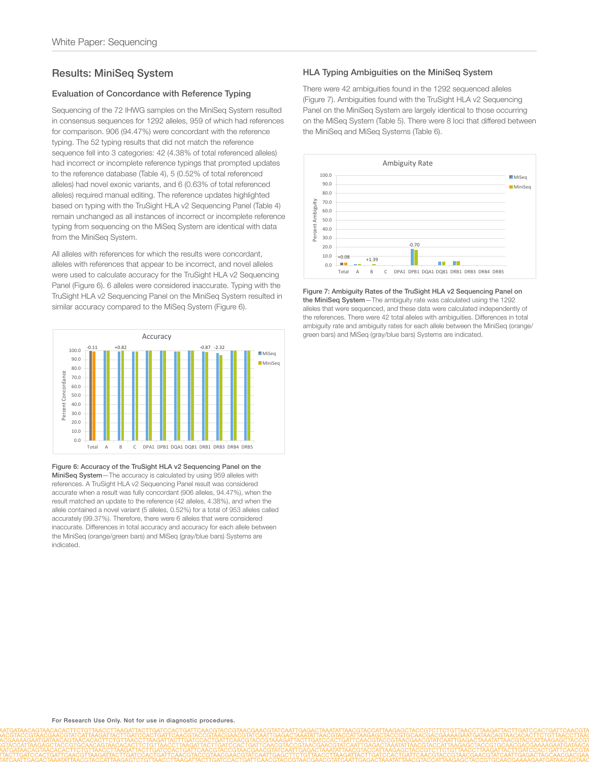# Results: MiniSeq System

#### Evaluation of Concordance with Reference Typing

Sequencing of the 72 IHWG samples on the MiniSeq System resulted in consensus sequences for 1292 alleles, 959 of which had references for comparison. 906 (94.47%) were concordant with the reference typing. The 52 typing results that did not match the reference sequence fell into 3 categories: 42 (4.38% of total referenced alleles) had incorrect or incomplete reference typings that prompted updates to the reference database (Table 4), 5 (0.52% of total referenced alleles) had novel exonic variants, and 6 (0.63% of total referenced alleles) required manual editing. The reference updates highlighted based on typing with the TruSight HLA v2 Sequencing Panel (Table 4) remain unchanged as all instances of incorrect or incomplete reference typing from sequencing on the MiSeq System are identical with data from the MiniSeq System.

All alleles with references for which the results were concordant, alleles with references that appear to be incorrect, and novel alleles were used to calculate accuracy for the TruSight HLA v2 Sequencing Panel (Figure 6). 6 alleles were considered inaccurate. Typing with the TruSight HLA v2 Sequencing Panel on the MiniSeq System resulted in similar accuracy compared to the MiSeq System (Figure 6).



Figure 6: Accuracy of the TruSight HLA v2 Sequencing Panel on the MiniSeq System—The accuracy is calculated by using 959 alleles with references. A TruSight HLA v2 Sequencing Panel result was considered accurate when a result was fully concordant (906 alleles, 94.47%), when the result matched an update to the reference (42 alleles, 4.38%), and when the allele contained a novel variant (5 alleles, 0.52%) for a total of 953 alleles called accurately (99.37%). Therefore, there were 6 alleles that were considered inaccurate. Differences in total accuracy and accuracy for each allele between the MiniSeq (orange/green bars) and MiSeq (gray/blue bars) Systems are indicated.

#### HLA Typing Ambiguities on the MiniSeq System

There were 42 ambiguities found in the 1292 sequenced alleles (Figure 7). Ambiguities found with the TruSight HLA v2 Sequencing Panel on the MiniSeq System are largely identical to those occurring on the MiSeq System (Table 5). There were 8 loci that differed between the MiniSeq and MiSeq Systems (Table 6).



Figure 7: Ambiguity Rates of the TruSight HLA v2 Sequencing Panel on the MiniSeq System—The ambiguity rate was calculated using the 1292 alleles that were sequenced, and these data were calculated independently of the references. There were 42 total alleles with ambiguities. Differences in total ambiguity rate and ambiguity rates for each allele between the MiniSeg (orange/ green bars) and MiSeq (gray/blue bars) Systems are indicated.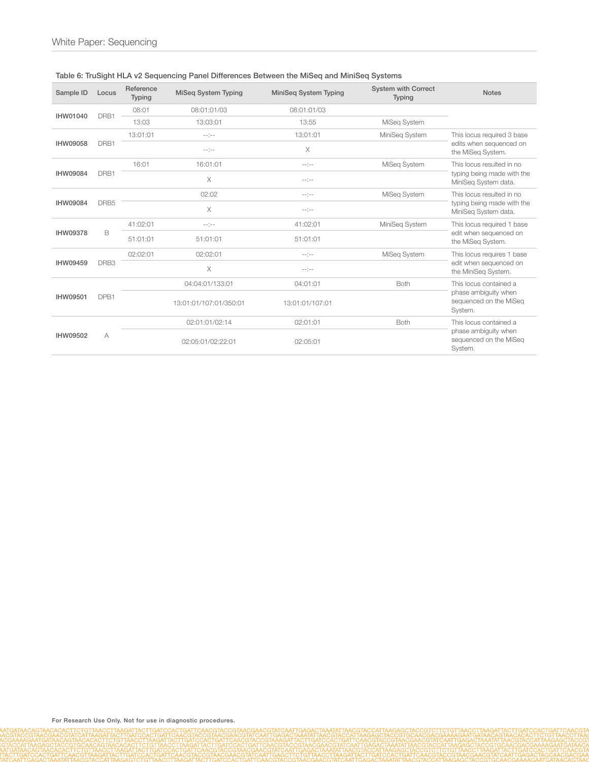| Sample ID       | Locus            | Reference<br>Typing | <b>MiSeg System Typing</b> | MiniSeg System Typing | <b>System with Correct</b><br><b>Typing</b> | <b>Notes</b>                                              |          |             |                        |
|-----------------|------------------|---------------------|----------------------------|-----------------------|---------------------------------------------|-----------------------------------------------------------|----------|-------------|------------------------|
| IHW01040        | DRB1             | 08:01               | 08:01:01/03                | 08:01:01/03           |                                             |                                                           |          |             |                        |
|                 |                  | 13:03               | 13:03:01                   | 13:55                 | MiSeq System                                |                                                           |          |             |                        |
| <b>IHW09058</b> |                  | 13:01:01            | $-1$ = $-1$                | 13:01:01              | MiniSeg System                              | This locus required 3 base                                |          |             |                        |
|                 | DRB1             |                     | $-1 - 1 - 1$               | $\times$              |                                             | edits when sequenced on<br>the MiSeg System.              |          |             |                        |
|                 |                  | 16:01               | 16:01:01                   | $-1 - 1 - 1 = -1$     | MiSeq System                                | This locus resulted in no                                 |          |             |                        |
| <b>IHW09084</b> | DRB1             |                     | X                          | $-1 - 1 - 1 = -1$     |                                             | typing being made with the<br>MiniSeg System data.        |          |             |                        |
|                 |                  |                     | 02:02                      | $-1 - 1 - 1$          | MiSeq System                                | This locus resulted in no                                 |          |             |                        |
| <b>IHW09084</b> | DRB <sub>5</sub> |                     | $\times$                   | $-1$ = $-1$           |                                             | typing being made with the<br>MiniSeg System data.        |          |             |                        |
| <b>IHW09378</b> |                  | 41:02:01            | $-1 - 1 - 1$               | 41:02:01              | MiniSeg System                              | This locus required 1 base                                |          |             |                        |
|                 | B                | 51:01:01            | 51:01:01                   | 51:01:01              |                                             | edit when sequenced on<br>the MiSeg System.               |          |             |                        |
|                 |                  | 02:02:01            | 02:02:01                   | $-1 - 1 - 1$          | MiSeq System                                | This locus requires 1 base                                |          |             |                        |
| IHW09459        | DRB <sub>3</sub> |                     | X                          | $-1 - 1 - 1$          |                                             | edit when sequenced on<br>the MiniSeq System.             |          |             |                        |
|                 | DPB1             |                     |                            |                       |                                             | 04:04:01/133:01                                           | 04:01:01 | <b>Both</b> | This locus contained a |
| <b>IHW09501</b> |                  |                     | 13:01:01/107:01/350:01     | 13:01:01/107:01       |                                             | phase ambiguity when<br>sequenced on the MiSeg<br>System. |          |             |                        |
| IHW09502        |                  |                     | 02:01:01/02:14             | 02:01:01              | Both                                        | This locus contained a                                    |          |             |                        |
|                 | A                |                     | 02:05:01/02:22:01          | 02:05:01              |                                             | phase ambiguity when<br>sequenced on the MiSeq<br>System. |          |             |                        |

## Table 6: TruSight HLA v2 Sequencing Panel Differences Between the MiSeq and MiniSeq Systems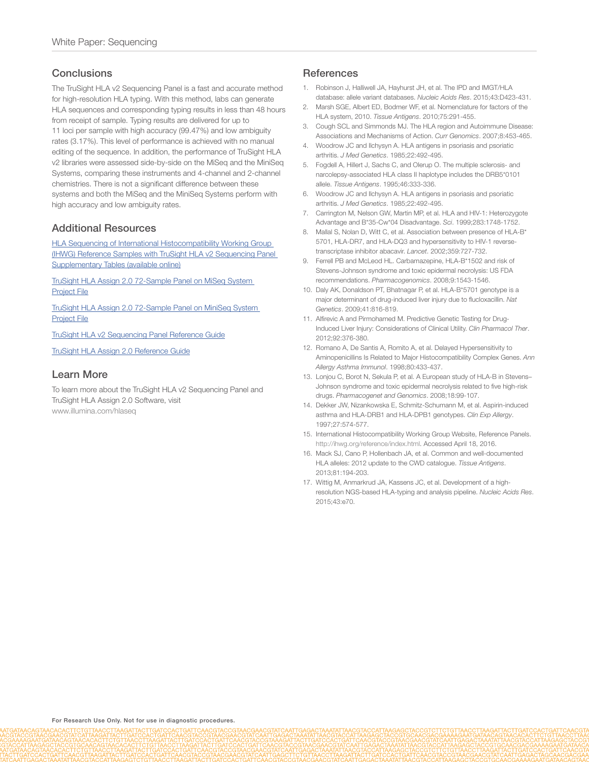## Conclusions

The TruSight HLA v2 Sequencing Panel is a fast and accurate method for high-resolution HLA typing. With this method, labs can generate HLA sequences and corresponding typing results in less than 48 hours from receipt of sample. Typing results are delivered for up to 11 loci per sample with high accuracy (99.47%) and low ambiguity rates (3.17%). This level of performance is achieved with no manual editing of the sequence. In addition, the performance of TruSight HLA v2 libraries were assessed side-by-side on the MiSeq and the MiniSeq Systems, comparing these instruments and 4-channel and 2-channel chemistries. There is not a significant difference between these systems and both the MiSeq and the MiniSeq Systems perform with high accuracy and low ambiguity rates.

## Additional Resources

[HLA Sequencing of International Histocompatibility Working Group](http://www.illumina.com/content/dam/illumina-marketing/documents/products/other/hla-sequencing-of-ihwg-reference-samples-supplementary-tables.xlsx)  [\(IHWG\) Reference Samples with TruSight HLA v2 Sequencing Panel](http://www.illumina.com/content/dam/illumina-marketing/documents/products/other/hla-sequencing-of-ihwg-reference-samples-supplementary-tables.xlsx)  [Supplementary Tables \(available](http://www.illumina.com/content/dam/illumina-marketing/documents/products/other/hla-sequencing-of-ihwg-reference-samples-supplementary-tables.xlsx) online)

[TruSight HLA Assign 2.0 72-Sample Panel on MiSeq System](http://support.illumina.com/downloads/trusight-hla-analysis-software-assign-2-0.html)  [Project](http://support.illumina.com/downloads/trusight-hla-analysis-software-assign-2-0.html) File

[TruSight HLA Assign 2.0 72-Sample Panel on MiniSeq System](http://support.illumina.com/downloads/trusight-hla-analysis-software-assign-2-0.html)  [Project](http://support.illumina.com/downloads/trusight-hla-analysis-software-assign-2-0.html) File

[TruSight HLA v2 Sequencing Panel Reference](http://support.illumina.com/downloads/trusight-hla-v2-reference-guide-1000000010159.html) Guide

[TruSight HLA Assign 2.0 Reference](http://support.illumina.com/downloads/trusight-hla-analysis-software-assign-2-0-guide-1000000010450.html) Guide

## Learn More

To learn more about the TruSight HLA v2 Sequencing Panel and TruSight HLA Assign 2.0 Software, visit www.illumina.com/hlaseq

## **References**

- <span id="page-10-0"></span>1. Robinson J, Halliwell JA, Hayhurst JH, et al. The IPD and IMGT/HLA database: allele variant databases. *Nucleic Acids Res*. 2015;43:D423-431.
- <span id="page-10-1"></span>Marsh SGE, Albert ED, Bodmer WF, et al. Nomenclature for factors of the HLA system, 2010. *Tissue Antigens*. 2010;75:291-455.
- <span id="page-10-2"></span>3. Cough SCL and Simmonds MJ. The HLA region and Autoimmune Disease: Associations and Mechanisms of Action. *Curr Genomics*. 2007;8:453-465.
- 4. Woodrow JC and Ilchysyn A. HLA antigens in psoriasis and psoriatic arthritis. *J Med Genetics*. 1985;22:492-495.
- 5. Fogdell A, Hillert J, Sachs C, and Olerup O. The multiple sclerosis- and narcolepsy-associated HLA class II haplotype includes the DRB5\*0101 allele. *Tissue Antigens*. 1995;46:333-336.
- <span id="page-10-3"></span>6. Woodrow JC and Ilchysyn A. HLA antigens in psoriasis and psoriatic arthritis. *J Med Genetics*. 1985;22:492-495.
- <span id="page-10-4"></span>7. Carrington M, Nelson GW, Martin MP, et al. HLA and HIV-1: Heterozygote Advantage and B\*35-Cw\*04 Disadvantage. *Sci*. 1999;283:1748-1752.
- <span id="page-10-5"></span>8. Mallal S, Nolan D, Witt C, et al. Association between presence of HLA-B\* 5701, HLA-DR7, and HLA-DQ3 and hypersensitivity to HIV-1 reversetranscriptase inhibitor abacavir. *Lancet*. 2002;359:727-732.
- <span id="page-10-6"></span>9. Ferrell PB and McLeod HL. Carbamazepine, HLA-B\*1502 and risk of Stevens-Johnson syndrome and toxic epidermal necrolysis: US FDA recommendations. *Pharmacogenomics*. 2008;9:1543-1546.
- <span id="page-10-7"></span>10. Daly AK, Donaldson PT, Bhatnagar P, et al. HLA-B\*5701 genotype is a major determinant of drug-induced liver injury due to flucloxacillin. *Nat Genetics*. 2009;41:816-819.
- <span id="page-10-8"></span>11. Alfirevic A and Pirmohamed M. Predictive Genetic Testing for Drug-Induced Liver Injury: Considerations of Clinical Utility. *Clin Pharmacol Ther*. 2012;92:376-380.
- <span id="page-10-9"></span>12. Romano A, De Santis A, Romito A, et al. Delayed Hypersensitivity to Aminopenicillins Is Related to Major Histocompatibility Complex Genes. *Ann Allergy Asthma Immunol*. 1998;80:433-437.
- <span id="page-10-10"></span>13. Lonjou C, Borot N, Sekula P, et al. A European study of HLA-B in Stevens– Johnson syndrome and toxic epidermal necrolysis related to five high-risk drugs. *Pharmacogenet and Genomics*. 2008;18:99-107.
- <span id="page-10-11"></span>14. Dekker JW, Nizankowska E, Schmitz-Schumann M, et al. Aspirin-induced asthma and HLA-DRB1 and HLA-DPB1 genotypes. *Clin Exp Allergy*. 1997;27:574-577.
- <span id="page-10-12"></span>15. International Histocompatibility Working Group Website, Reference Panels. http://ihwg.org/reference/index.html. Accessed April 18, 2016.
- <span id="page-10-13"></span>16. Mack SJ, Cano P, Hollenbach JA, et al. Common and well-documented HLA alleles: 2012 update to the CWD catalogue. *Tissue Antigens*. 2013;81:194-203.
- <span id="page-10-14"></span>17. Wittig M, Anmarkrud JA, Kassens JC, et al. Development of a highresolution NGS-based HLA-typing and analysis pipeline. *Nucleic Acids Res*. 2015;43:e70.